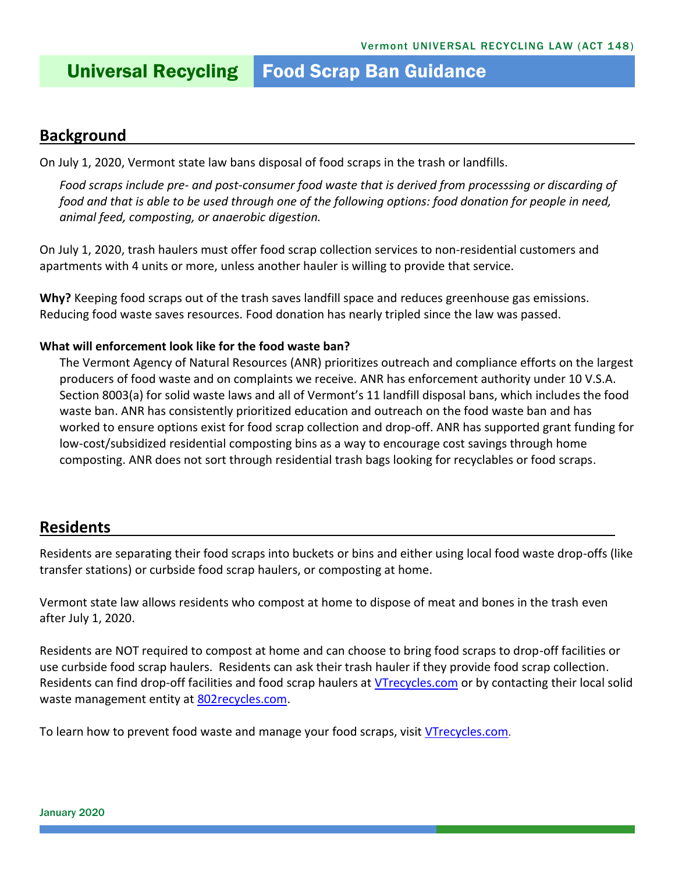# Universal Recycling Food Scrap Ban Guidance

#### **Background**

On July 1, 2020, Vermont state law bans disposal of food scraps in the trash or landfills.

*Food scraps include pre- and post-consumer food waste that is derived from processsing or discarding of food and that is able to be used through one of the following options: food donation for people in need, animal feed, composting, or anaerobic digestion.*

On July 1, 2020, trash haulers must offer food scrap collection services to non-residential customers and apartments with 4 units or more, unless another hauler is willing to provide that service.

**Why?** Keeping food scraps out of the trash saves landfill space and reduces greenhouse gas emissions. Reducing food waste saves resources. Food donation has nearly tripled since the law was passed.

#### **What will enforcement look like for the food waste ban?**

The Vermont Agency of Natural Resources (ANR) prioritizes outreach and compliance efforts on the largest producers of food waste and on complaints we receive. ANR has enforcement authority under 10 V.S.A. Section 8003(a) for solid waste laws and all of Vermont's 11 landfill disposal bans, which includes the food waste ban. ANR has consistently prioritized education and outreach on the food waste ban and has worked to ensure options exist for food scrap collection and drop-off. ANR has supported grant funding for low-cost/subsidized residential composting bins as a way to encourage cost savings through home composting. ANR does not sort through residential trash bags looking for recyclables or food scraps.

#### **Residents**

Residents are separating their food scraps into buckets or bins and either using local food waste drop-offs (like transfer stations) or curbside food scrap haulers, or composting at home.

Vermont state law allows residents who compost at home to dispose of meat and bones in the trash even after July 1, 2020.

Residents are NOT required to compost at home and can choose to bring food scraps to drop-off facilities or use curbside food scrap haulers. Residents can ask their trash hauler if they provide food scrap collection. Residents can find drop-off facilities and food scrap haulers at [VTrecycles.com](http://www.vtrecycles.com/) or by contacting their local solid waste management entity at 802 recycles.com.

To learn how to prevent food waste and manage your food scraps, visit [VTrecycles.com](http://www.vtrecycles.com/).